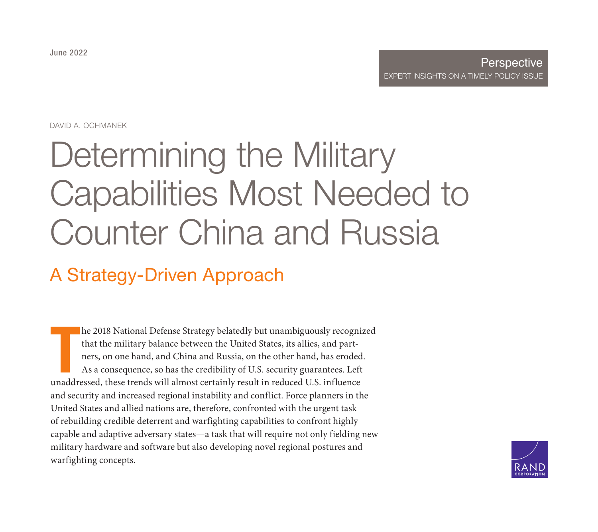June 2022

#### **Perspective** [EXPERT INSIGHTS ON A T](https://www.rand.org/pubs/perspectives/PEA1984-1.html)IMELY POLICY ISSUE

DAVID A. OCHMANEK

# Determining the Military Capabilities Most Needed to Counter China and Russia

## A Strategy-Driven Approach

T he 2018 National Defense Strategy belatedly but unambiguously recognized that the military balance between the United States, its allies, and partners, on one hand, and China and Russia, on the other hand, has eroded. As a consequence, so has the credibility of U.S. security guarantees. Left unaddressed, these trends will almost certainly result in reduced U.S. influence and security and increased regional instability and conflict. Force planners in the United States and allied nations are, therefore, confronted with the urgent task of rebuilding credible deterrent and warfighting capabilities to confront highly capable and adaptive adversary states—a task that will require not only fielding new military hardware and software but also developing novel regional postures and warfighting concepts.

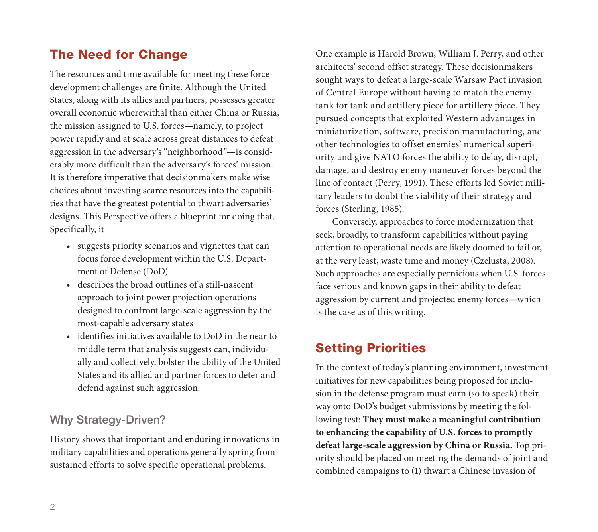## The Need for Change

The resources and time available for meeting these forcedevelopment challenges are finite. Although the United States, along with its allies and partners, possesses greater overall economic wherewithal than either China or Russia, the mission assigned to U.S. forces—namely, to project power rapidly and at scale across great distances to defeat aggression in the adversary's "neighborhood"—is considerably more difficult than the adversary's forces' mission. It is therefore imperative that decisionmakers make wise choices about investing scarce resources into the capabilities that have the greatest potential to thwart adversaries' designs. This Perspective offers a blueprint for doing that. Specifically, it

- suggests priority scenarios and vignettes that can focus force development within the U.S. Department of Defense (DoD)
- describes the broad outlines of a still-nascent approach to joint power projection operations designed to confront large-scale aggression by the most-capable adversary states
- identifies initiatives available to DoD in the near to middle term that analysis suggests can, individually and collectively, bolster the ability of the United States and its allied and partner forces to deter and defend against such aggression.

#### Why Strategy-Driven?

History shows that important and enduring innovations in military capabilities and operations generally spring from sustained efforts to solve specific operational problems.

One example is Harold Brown, William J. Perry, and other architects' second offset strategy. These decisionmakers sought ways to defeat a large-scale Warsaw Pact invasion of Central Europe without having to match the enemy tank for tank and artillery piece for artillery piece. They pursued concepts that exploited Western advantages in miniaturization, software, precision manufacturing, and other technologies to offset enemies' numerical superiority and give NATO forces the ability to delay, disrupt, damage, and destroy enemy maneuver forces beyond the line of contact (Perry, 1991). These efforts led Soviet military leaders to doubt the viability of their strategy and forces (Sterling, 1985).

Conversely, approaches to force modernization that seek, broadly, to transform capabilities without paying attention to operational needs are likely doomed to fail or, at the very least, waste time and money (Czelusta, 2008). Such approaches are especially pernicious when U.S. forces face serious and known gaps in their ability to defeat aggression by current and projected enemy forces—which is the case as of this writing.

## Setting Priorities

In the context of today's planning environment, investment initiatives for new capabilities being proposed for inclusion in the defense program must earn (so to speak) their way onto DoD's budget submissions by meeting the following test: **They must make a meaningful contribution to enhancing the capability of U.S. forces to promptly defeat large-scale aggression by China or Russia.** Top priority should be placed on meeting the demands of joint and combined campaigns to (1) thwart a Chinese invasion of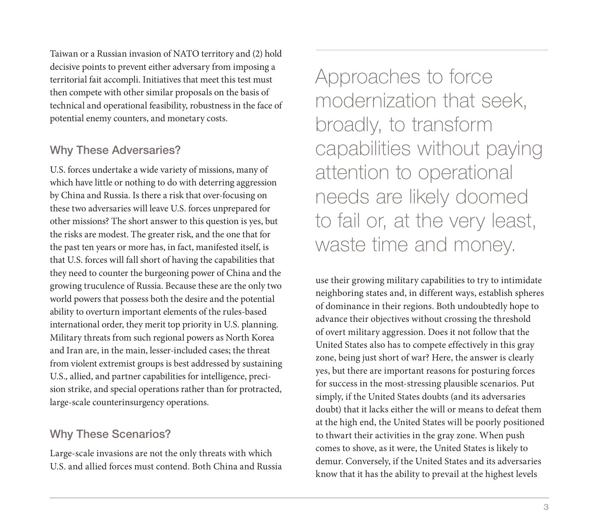Taiwan or a Russian invasion of NATO territory and (2) hold decisive points to prevent either adversary from imposing a territorial fait accompli. Initiatives that meet this test must then compete with other similar proposals on the basis of technical and operational feasibility, robustness in the face of potential enemy counters, and monetary costs.

#### Why These Adversaries?

U.S. forces undertake a wide variety of missions, many of which have little or nothing to do with deterring aggression by China and Russia. Is there a risk that over-focusing on these two adversaries will leave U.S. forces unprepared for other missions? The short answer to this question is yes, but the risks are modest. The greater risk, and the one that for the past ten years or more has, in fact, manifested itself, is that U.S. forces will fall short of having the capabilities that they need to counter the burgeoning power of China and the growing truculence of Russia. Because these are the only two world powers that possess both the desire and the potential ability to overturn important elements of the rules-based international order, they merit top priority in U.S. planning. Military threats from such regional powers as North Korea and Iran are, in the main, lesser-included cases; the threat from violent extremist groups is best addressed by sustaining U.S., allied, and partner capabilities for intelligence, precision strike, and special operations rather than for protracted, large-scale counterinsurgency operations.

#### Why These Scenarios?

Large-scale invasions are not the only threats with which U.S. and allied forces must contend. Both China and Russia Approaches to force modernization that seek, broadly, to transform capabilities without paying attention to operational needs are likely doomed to fail or, at the very least, waste time and money.

use their growing military capabilities to try to intimidate neighboring states and, in different ways, establish spheres of dominance in their regions. Both undoubtedly hope to advance their objectives without crossing the threshold of overt military aggression. Does it not follow that the United States also has to compete effectively in this gray zone, being just short of war? Here, the answer is clearly yes, but there are important reasons for posturing forces for success in the most-stressing plausible scenarios. Put simply, if the United States doubts (and its adversaries doubt) that it lacks either the will or means to defeat them at the high end, the United States will be poorly positioned to thwart their activities in the gray zone. When push comes to shove, as it were, the United States is likely to demur. Conversely, if the United States and its adversaries know that it has the ability to prevail at the highest levels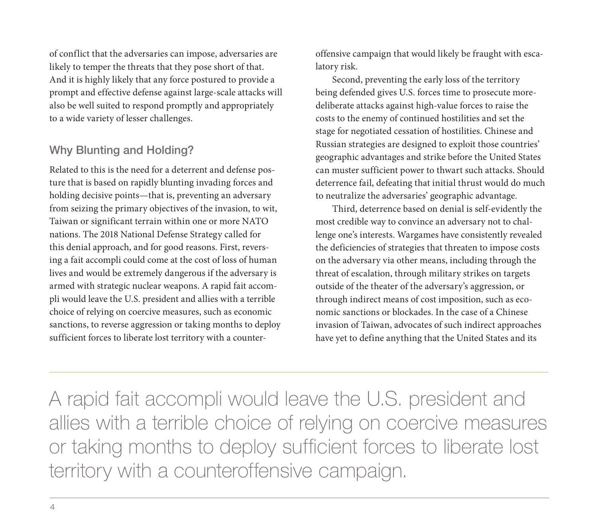of conflict that the adversaries can impose, adversaries are likely to temper the threats that they pose short of that. And it is highly likely that any force postured to provide a prompt and effective defense against large-scale attacks will also be well suited to respond promptly and appropriately to a wide variety of lesser challenges.

#### Why Blunting and Holding?

Related to this is the need for a deterrent and defense posture that is based on rapidly blunting invading forces and holding decisive points—that is, preventing an adversary from seizing the primary objectives of the invasion, to wit, Taiwan or significant terrain within one or more NATO nations. The 2018 National Defense Strategy called for this denial approach, and for good reasons. First, reversing a fait accompli could come at the cost of loss of human lives and would be extremely dangerous if the adversary is armed with strategic nuclear weapons. A rapid fait accompli would leave the U.S. president and allies with a terrible choice of relying on coercive measures, such as economic sanctions, to reverse aggression or taking months to deploy sufficient forces to liberate lost territory with a counteroffensive campaign that would likely be fraught with escalatory risk.

Second, preventing the early loss of the territory being defended gives U.S. forces time to prosecute moredeliberate attacks against high-value forces to raise the costs to the enemy of continued hostilities and set the stage for negotiated cessation of hostilities. Chinese and Russian strategies are designed to exploit those countries' geographic advantages and strike before the United States can muster sufficient power to thwart such attacks. Should deterrence fail, defeating that initial thrust would do much to neutralize the adversaries' geographic advantage.

Third, deterrence based on denial is self-evidently the most credible way to convince an adversary not to challenge one's interests. Wargames have consistently revealed the deficiencies of strategies that threaten to impose costs on the adversary via other means, including through the threat of escalation, through military strikes on targets outside of the theater of the adversary's aggression, or through indirect means of cost imposition, such as economic sanctions or blockades. In the case of a Chinese invasion of Taiwan, advocates of such indirect approaches have yet to define anything that the United States and its

A rapid fait accompli would leave the U.S. president and allies with a terrible choice of relying on coercive measures or taking months to deploy sufficient forces to liberate lost territory with a counteroffensive campaign.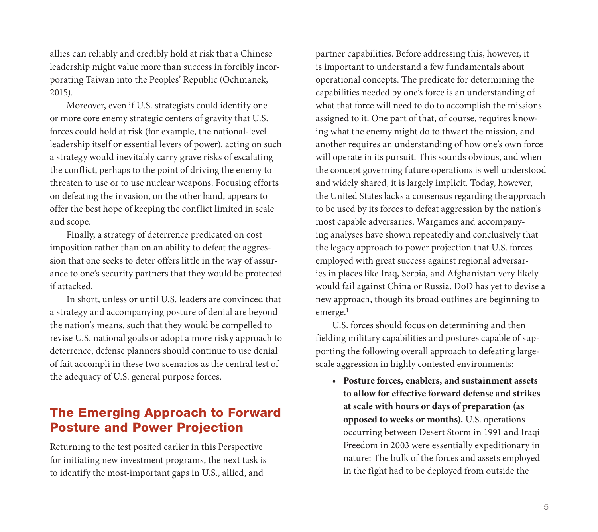allies can reliably and credibly hold at risk that a Chinese leadership might value more than success in forcibly incorporating Taiwan into the Peoples' Republic (Ochmanek, 2015).

Moreover, even if U.S. strategists could identify one or more core enemy strategic centers of gravity that U.S. forces could hold at risk (for example, the national-level leadership itself or essential levers of power), acting on such a strategy would inevitably carry grave risks of escalating the conflict, perhaps to the point of driving the enemy to threaten to use or to use nuclear weapons. Focusing efforts on defeating the invasion, on the other hand, appears to offer the best hope of keeping the conflict limited in scale and scope.

Finally, a strategy of deterrence predicated on cost imposition rather than on an ability to defeat the aggression that one seeks to deter offers little in the way of assurance to one's security partners that they would be protected if attacked.

In short, unless or until U.S. leaders are convinced that a strategy and accompanying posture of denial are beyond the nation's means, such that they would be compelled to revise U.S. national goals or adopt a more risky approach to deterrence, defense planners should continue to use denial of fait accompli in these two scenarios as the central test of the adequacy of U.S. general purpose forces.

#### The Emerging Approach to Forward Posture and Power Projection

Returning to the test posited earlier in this Perspective for initiating new investment programs, the next task is to identify the most-important gaps in U.S., allied, and

partner capabilities. Before addressing this, however, it is important to understand a few fundamentals about operational concepts. The predicate for determining the capabilities needed by one's force is an understanding of what that force will need to do to accomplish the missions assigned to it. One part of that, of course, requires knowing what the enemy might do to thwart the mission, and another requires an understanding of how one's own force will operate in its pursuit. This sounds obvious, and when the concept governing future operations is well understood and widely shared, it is largely implicit. Today, however, the United States lacks a consensus regarding the approach to be used by its forces to defeat aggression by the nation's most capable adversaries. Wargames and accompanying analyses have shown repeatedly and conclusively that the legacy approach to power projection that U.S. forces employed with great success against regional adversaries in places like Iraq, Serbia, and Afghanistan very likely would fail against China or Russia. DoD has yet to devise a new approach, though its broad outlines are beginning to emerge.<sup>1</sup>

U.S. forces should focus on determining and then fielding military capabilities and postures capable of supporting the following overall approach to defeating largescale aggression in highly contested environments:

• **Posture forces, enablers, and sustainment assets to allow for effective forward defense and strikes at scale with hours or days of preparation (as opposed to weeks or months).** U.S. operations occurring between Desert Storm in 1991 and Iraqi Freedom in 2003 were essentially expeditionary in nature: The bulk of the forces and assets employed in the fight had to be deployed from outside the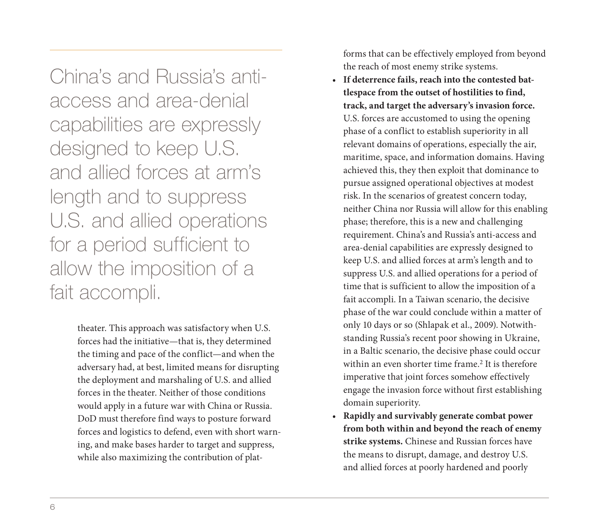China's and Russia's antiaccess and area-denial capabilities are expressly designed to keep U.S. and allied forces at arm's length and to suppress U.S. and allied operations for a period sufficient to allow the imposition of a fait accompli.

> theater. This approach was satisfactory when U.S. forces had the initiative—that is, they determined the timing and pace of the conflict—and when the adversary had, at best, limited means for disrupting the deployment and marshaling of U.S. and allied forces in the theater. Neither of those conditions would apply in a future war with China or Russia. DoD must therefore find ways to posture forward forces and logistics to defend, even with short warning, and make bases harder to target and suppress, while also maximizing the contribution of plat

forms that can be effectively employed from beyond the reach of most enemy strike systems.

- **If deterrence fails, reach into the contested battlespace from the outset of hostilities to find, track, and target the adversary's invasion force.**  U.S. forces are accustomed to using the opening phase of a conflict to establish superiority in all relevant domains of operations, especially the air, maritime, space, and information domains. Having achieved this, they then exploit that dominance to pursue assigned operational objectives at modest risk. In the scenarios of greatest concern today, neither China nor Russia will allow for this enabling phase; therefore, this is a new and challenging requirement. China's and Russia's anti-access and area-denial capabilities are expressly designed to keep U.S. and allied forces at arm's length and to suppress U.S. and allied operations for a period of time that is sufficient to allow the imposition of a fait accompli. In a Taiwan scenario, the decisive phase of the war could conclude within a matter of only 10 days or so (Shlapak et al., 2009). Notwithstanding Russia's recent poor showing in Ukraine, in a Baltic scenario, the decisive phase could occur within an even shorter time frame.<sup>2</sup> It is therefore imperative that joint forces somehow effectively engage the invasion force without first establishing domain superiority.
- **Rapidly and survivably generate combat power from both within and beyond the reach of enemy strike systems.** Chinese and Russian forces have the means to disrupt, damage, and destroy U.S. and allied forces at poorly hardened and poorly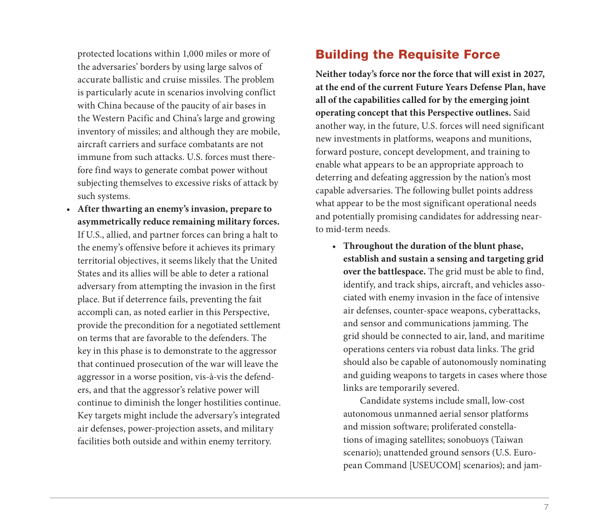protected locations within 1,000 miles or more of the adversaries' borders by using large salvos of accurate ballistic and cruise missiles. The problem is particularly acute in scenarios involving conflict with China because of the paucity of air bases in the Western Pacific and China's large and growing inventory of missiles; and although they are mobile, aircraft carriers and surface combatants are not immune from such attacks. U.S. forces must therefore find ways to generate combat power without subjecting themselves to excessive risks of attack by such systems.

• **After thwarting an enemy's invasion, prepare to asymmetrically reduce remaining military forces.** If U.S., allied, and partner forces can bring a halt to the enemy's offensive before it achieves its primary territorial objectives, it seems likely that the United States and its allies will be able to deter a rational adversary from attempting the invasion in the first place. But if deterrence fails, preventing the fait accompli can, as noted earlier in this Perspective, provide the precondition for a negotiated settlement on terms that are favorable to the defenders. The key in this phase is to demonstrate to the aggressor that continued prosecution of the war will leave the aggressor in a worse position, vis-à-vis the defenders, and that the aggressor's relative power will continue to diminish the longer hostilities continue. Key targets might include the adversary's integrated air defenses, power-projection assets, and military facilities both outside and within enemy territory.

#### Building the Requisite Force

**Neither today's force nor the force that will exist in 2027, at the end of the current Future Years Defense Plan, have all of the capabilities called for by the emerging joint operating concept that this Perspective outlines.** Said another way, in the future, U.S. forces will need significant new investments in platforms, weapons and munitions, forward posture, concept development, and training to enable what appears to be an appropriate approach to deterring and defeating aggression by the nation's most capable adversaries. The following bullet points address what appear to be the most significant operational needs and potentially promising candidates for addressing nearto mid-term needs.

• **Throughout the duration of the blunt phase, establish and sustain a sensing and targeting grid over the battlespace.** The grid must be able to find, identify, and track ships, aircraft, and vehicles associated with enemy invasion in the face of intensive air defenses, counter-space weapons, cyberattacks, and sensor and communications jamming. The grid should be connected to air, land, and maritime operations centers via robust data links. The grid should also be capable of autonomously nominating and guiding weapons to targets in cases where those links are temporarily severed.

Candidate systems include small, low-cost autonomous unmanned aerial sensor platforms and mission software; proliferated constellations of imaging satellites; sonobuoys (Taiwan scenario); unattended ground sensors (U.S. European Command [USEUCOM] scenarios); and jam-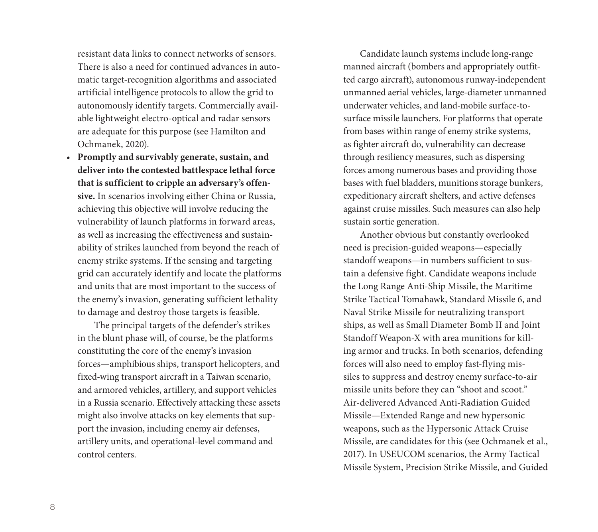resistant data links to connect networks of sensors. There is also a need for continued advances in automatic target-recognition algorithms and associated artificial intelligence protocols to allow the grid to autonomously identify targets. Commercially available lightweight electro-optical and radar sensors are adequate for this purpose (see Hamilton and Ochmanek, 2020).

• **Promptly and survivably generate, sustain, and deliver into the contested battlespace lethal force that is sufficient to cripple an adversary's offensive.** In scenarios involving either China or Russia, achieving this objective will involve reducing the vulnerability of launch platforms in forward areas, as well as increasing the effectiveness and sustainability of strikes launched from beyond the reach of enemy strike systems. If the sensing and targeting grid can accurately identify and locate the platforms and units that are most important to the success of the enemy's invasion, generating sufficient lethality to damage and destroy those targets is feasible.

The principal targets of the defender's strikes in the blunt phase will, of course, be the platforms constituting the core of the enemy's invasion forces—amphibious ships, transport helicopters, and fixed-wing transport aircraft in a Taiwan scenario, and armored vehicles, artillery, and support vehicles in a Russia scenario. Effectively attacking these assets might also involve attacks on key elements that support the invasion, including enemy air defenses, artillery units, and operational-level command and control centers.

Candidate launch systems include long-range manned aircraft (bombers and appropriately outfitted cargo aircraft), autonomous runway-independent unmanned aerial vehicles, large-diameter unmanned underwater vehicles, and land-mobile surface-tosurface missile launchers. For platforms that operate from bases within range of enemy strike systems, as fighter aircraft do, vulnerability can decrease through resiliency measures, such as dispersing forces among numerous bases and providing those bases with fuel bladders, munitions storage bunkers, expeditionary aircraft shelters, and active defenses against cruise missiles. Such measures can also help sustain sortie generation.

Another obvious but constantly overlooked need is precision-guided weapons—especially standoff weapons—in numbers sufficient to sustain a defensive fight. Candidate weapons include the Long Range Anti-Ship Missile, the Maritime Strike Tactical Tomahawk, Standard Missile 6, and Naval Strike Missile for neutralizing transport ships, as well as Small Diameter Bomb II and Joint Standoff Weapon-X with area munitions for killing armor and trucks. In both scenarios, defending forces will also need to employ fast-flying missiles to suppress and destroy enemy surface-to-air missile units before they can "shoot and scoot." Air-delivered Advanced Anti-Radiation Guided Missile—Extended Range and new hypersonic weapons, such as the Hypersonic Attack Cruise Missile, are candidates for this (see Ochmanek et al., 2017). In USEUCOM scenarios, the Army Tactical Missile System, Precision Strike Missile, and Guided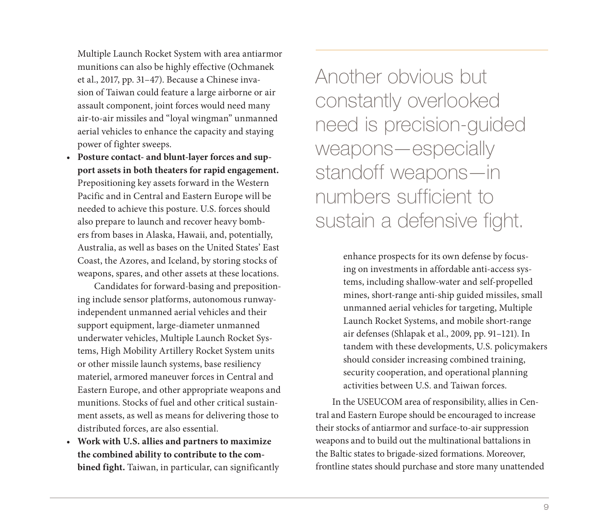Multiple Launch Rocket System with area antiarmor munitions can also be highly effective (Ochmanek et al., 2017, pp. 31–47). Because a Chinese invasion of Taiwan could feature a large airborne or air assault component, joint forces would need many air-to-air missiles and "loyal wingman" unmanned aerial vehicles to enhance the capacity and staying power of fighter sweeps.

• **Posture contact- and blunt-layer forces and support assets in both theaters for rapid engagement.**  Prepositioning key assets forward in the Western Pacific and in Central and Eastern Europe will be needed to achieve this posture. U.S. forces should also prepare to launch and recover heavy bombers from bases in Alaska, Hawaii, and, potentially, Australia, as well as bases on the United States' East Coast, the Azores, and Iceland, by storing stocks of weapons, spares, and other assets at these locations.

Candidates for forward-basing and prepositioning include sensor platforms, autonomous runwayindependent unmanned aerial vehicles and their support equipment, large-diameter unmanned underwater vehicles, Multiple Launch Rocket Systems, High Mobility Artillery Rocket System units or other missile launch systems, base resiliency materiel, armored maneuver forces in Central and Eastern Europe, and other appropriate weapons and munitions. Stocks of fuel and other critical sustainment assets, as well as means for delivering those to distributed forces, are also essential.

• **Work with U.S. allies and partners to maximize the combined ability to contribute to the combined fight.** Taiwan, in particular, can significantly Another obvious but constantly overlooked need is precision-guided weapons—especially standoff weapons—in numbers sufficient to sustain a defensive fight.

> enhance prospects for its own defense by focusing on investments in affordable anti-access systems, including shallow-water and self-propelled mines, short-range anti-ship guided missiles, small unmanned aerial vehicles for targeting, Multiple Launch Rocket Systems, and mobile short-range air defenses (Shlapak et al., 2009, pp. 91–121). In tandem with these developments, U.S. policymakers should consider increasing combined training, security cooperation, and operational planning activities between U.S. and Taiwan forces.

In the USEUCOM area of responsibility, allies in Central and Eastern Europe should be encouraged to increase their stocks of antiarmor and surface-to-air suppression weapons and to build out the multinational battalions in the Baltic states to brigade-sized formations. Moreover, frontline states should purchase and store many unattended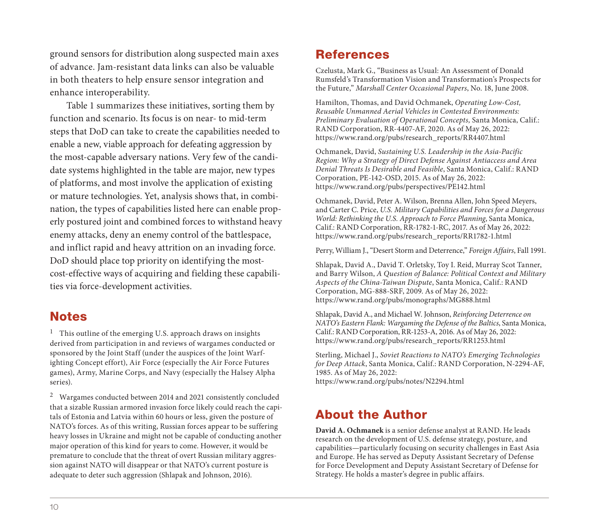ground sensors for distribution along suspected main axes of advance. Jam-resistant data links can also be valuable in both theaters to help ensure sensor integration and enhance interoperability.

Table 1 summarizes these initiatives, sorting them by function and scenario. Its focus is on near- to mid-term steps that DoD can take to create the capabilities needed to enable a new, viable approach for defeating aggression by the most-capable adversary nations. Very few of the candidate systems highlighted in the table are major, new types of platforms, and most involve the application of existing or mature technologies. Yet, analysis shows that, in combination, the types of capabilities listed here can enable properly postured joint and combined forces to withstand heavy enemy attacks, deny an enemy control of the battlespace, and inflict rapid and heavy attrition on an invading force. DoD should place top priority on identifying the mostcost-effective ways of acquiring and fielding these capabilities via force-development activities.

#### Notes

 $^{\rm 1}~$  This outline of the emerging U.S. approach draws on insights derived from participation in and reviews of wargames conducted or sponsored by the Joint Staff (under the auspices of the Joint Warfighting Concept effort), Air Force (especially the Air Force Futures games), Army, Marine Corps, and Navy (especially the Halsey Alpha series).

2 Wargames conducted between 2014 and 2021 consistently concluded that a sizable Russian armored invasion force likely could reach the capitals of Estonia and Latvia within 60 hours or less, given the posture of NATO's forces. As of this writing, Russian forces appear to be suffering heavy losses in Ukraine and might not be capable of conducting another major operation of this kind for years to come. However, it would be premature to conclude that the threat of overt Russian military aggression against NATO will disappear or that NATO's current posture is adequate to deter such aggression (Shlapak and Johnson, 2016).

#### References

Czelusta, Mark G., "Business as Usual: An Assessment of Donald Rumsfeld's Transformation Vision and Transformation's Prospects for the Future," Marshall Center Occasional Papers, No. 18, June 2008.

[Hamilton, Thomas, and David Ochmanek,](https://www.rand.org/pubs/monographs/MG888.html) Operating Low-Cost, Reusable Unmanned Aerial Vehicles in Contested Environments: Preliminary Evaluation of Operational Concepts, Santa Monica, Calif.: RAND Corporation, RR-4407-AF, 2020. As of May 26, 2022: [https://www.rand.org/pubs/research\\_reports/RR4407.html](https://www.rand.org/pubs/research_reports/RR1253.html)

Ochmanek, David, Sustaining U.S. Leadership in the Asia-Pacific Region: Why a Strategy of Direct Defense Against Antiaccess and Area Denial Threats Is Desirable and Feasible, Santa Monica, Calif.: RAND [Corporation, PE-142-OSD, 2015. As of May 26,](https://www.rand.org/pubs/notes/N2294.html) 2022: https://www.rand.org/pubs/perspectives/PE142.html

Ochmanek, David, Peter A. Wilson, Brenna Allen, John Speed Meyers, and Carter C. Price, U.S. Military Capabilities and Forces for a Dangerous World: Rethinking the U.S. Approach to Force Planning, Santa Monica, Calif.: RAND Corporation, RR-1782-1-RC, 2017. As of May 26, 2022: https://www.rand.org/pubs/research\_reports/RR1782-1.html

Perry, William J., "Desert Storm and Deterrence," Foreign Affairs, Fall 1991.

Shlapak, David A., David T. Orletsky, Toy I. Reid, Murray Scot Tanner, and Barry Wilson, A Question of Balance: Political Context and Military Aspects of the China-Taiwan Dispute, Santa Monica, Calif.: RAND Corporation, MG-888-SRF, 2009. As of May 26, 2022: https://www.rand.org/pubs/monographs/MG888.html

Shlapak, David A., and Michael W. Johnson, Reinforcing Deterrence on NATO's Eastern Flank: Wargaming the Defense of the Baltics, Santa Monica, Calif.: RAND Corporation, RR-1253-A, 2016. As of May 26, 2022: https://www.rand.org/pubs/research\_reports/RR1253.html

Sterling, Michael J., Soviet Reactions to NATO's Emerging Technologies for Deep Attack, Santa Monica, Calif.: RAND Corporation, N-2294-AF, 1985. As of May 26, 2022: https://www.rand.org/pubs/notes/N2294.html

## About the Author

**David A. Ochmanek** is a senior defense analyst at RAND. He leads research on the development of U.S. defense strategy, posture, and capabilities—particularly focusing on security challenges in East Asia and Europe. He has served as Deputy Assistant Secretary of Defense for Force Development and Deputy Assistant Secretary of Defense for Strategy. He holds a master's degree in public affairs.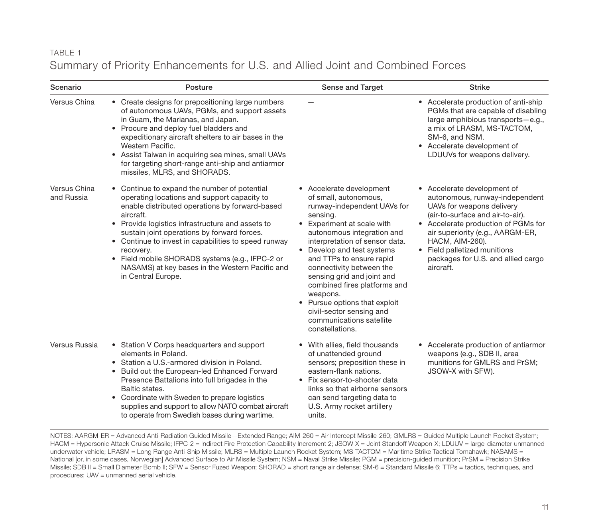#### TABLE 1 Summary of Priority Enhancements for U.S. and Allied Joint and Combined Forces

| Scenario                   | Posture                                                                                                                                                                                                                                                                                                                                                                                                                                                        | Sense and Target                                                                                                                                                                                                                                                                                                                                                                                                                                                       | <b>Strike</b>                                                                                                                                                                                                                                                                                                        |
|----------------------------|----------------------------------------------------------------------------------------------------------------------------------------------------------------------------------------------------------------------------------------------------------------------------------------------------------------------------------------------------------------------------------------------------------------------------------------------------------------|------------------------------------------------------------------------------------------------------------------------------------------------------------------------------------------------------------------------------------------------------------------------------------------------------------------------------------------------------------------------------------------------------------------------------------------------------------------------|----------------------------------------------------------------------------------------------------------------------------------------------------------------------------------------------------------------------------------------------------------------------------------------------------------------------|
| Versus China               | • Create designs for prepositioning large numbers<br>of autonomous UAVs, PGMs, and support assets<br>in Guam, the Marianas, and Japan.<br>• Procure and deploy fuel bladders and<br>expeditionary aircraft shelters to air bases in the<br>Western Pacific.<br>• Assist Taiwan in acquiring sea mines, small UAVs<br>for targeting short-range anti-ship and antiarmor<br>missiles, MLRS, and SHORADS.                                                         |                                                                                                                                                                                                                                                                                                                                                                                                                                                                        | • Accelerate production of anti-ship<br>PGMs that are capable of disabling<br>large amphibious transports-e.g.,<br>a mix of LRASM, MS-TACTOM,<br>SM-6, and NSM.<br>• Accelerate development of<br>LDUUVs for weapons delivery.                                                                                       |
| Versus China<br>and Russia | • Continue to expand the number of potential<br>operating locations and support capacity to<br>enable distributed operations by forward-based<br>aircraft.<br>• Provide logistics infrastructure and assets to<br>sustain joint operations by forward forces.<br>• Continue to invest in capabilities to speed runway<br>recovery.<br>• Field mobile SHORADS systems (e.g., IFPC-2 or<br>NASAMS) at key bases in the Western Pacific and<br>in Central Europe. | • Accelerate development<br>of small, autonomous,<br>runway-independent UAVs for<br>sensing.<br>• Experiment at scale with<br>autonomous integration and<br>interpretation of sensor data.<br>• Develop and test systems<br>and TTPs to ensure rapid<br>connectivity between the<br>sensing grid and joint and<br>combined fires platforms and<br>weapons.<br>• Pursue options that exploit<br>civil-sector sensing and<br>communications satellite<br>constellations. | Accelerate development of<br>autonomous, runway-independent<br>UAVs for weapons delivery<br>(air-to-surface and air-to-air).<br>• Accelerate production of PGMs for<br>air superiority (e.g., AARGM-ER,<br><b>HACM, AIM-260).</b><br>• Field palletized munitions<br>packages for U.S. and allied cargo<br>aircraft. |
| Versus Russia              | • Station V Corps headquarters and support<br>elements in Poland.<br>• Station a U.S.-armored division in Poland.<br>• Build out the European-led Enhanced Forward<br>Presence Battalions into full brigades in the<br>Baltic states.<br>• Coordinate with Sweden to prepare logistics<br>supplies and support to allow NATO combat aircraft<br>to operate from Swedish bases during wartime.                                                                  | • With allies, field thousands<br>of unattended ground<br>sensors; preposition these in<br>eastern-flank nations.<br>• Fix sensor-to-shooter data<br>links so that airborne sensors<br>can send targeting data to<br>U.S. Army rocket artillery<br>units.                                                                                                                                                                                                              | Accelerate production of antiarmor<br>weapons (e.g., SDB II, area<br>munitions for GMLRS and PrSM;<br>JSOW-X with SFW).                                                                                                                                                                                              |

NOTES: AARGM-ER = Advanced Anti-Radiation Guided Missile—Extended Range; AIM-260 = Air Intercept Missile-260; GMLRS = Guided Multiple Launch Rocket System; HACM = Hypersonic Attack Cruise Missile; IFPC-2 = Indirect Fire Protection Capability Increment 2; JSOW-X = Joint Standoff Weapon-X; LDUUV = large-diameter unmanned underwater vehicle; LRASM = Long Range Anti-Ship Missile; MLRS = Multiple Launch Rocket System; MS-TACTOM = Maritime Strike Tactical Tomahawk; NASAMS = National [or, in some cases, Norwegian] Advanced Surface to Air Missile System; NSM = Naval Strike Missile; PGM = precision-guided munition; PrSM = Precision Strike Missile; SDB II = Small Diameter Bomb II; SFW = Sensor Fuzed Weapon; SHORAD = short range air defense; SM-6 = Standard Missile 6; TTPs = tactics, techniques, and procedures; UAV = unmanned aerial vehicle.